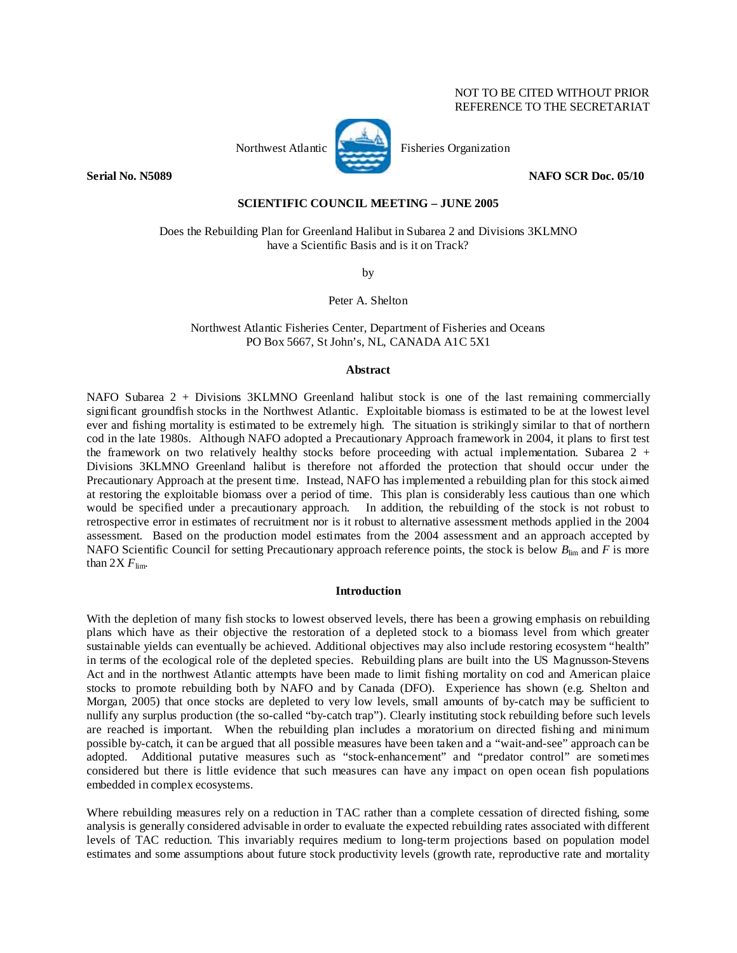# NOT TO BE CITED WITHOUT PRIOR REFERENCE TO THE SECRETARIAT



Northwest Atlantic **No. 2008** Fisheries Organization

**Serial No. N5089** NAFO SCR Doc. 05/10

## **SCIENTIFIC COUNCIL MEETING – JUNE 2005**

Does the Rebuilding Plan for Greenland Halibut in Subarea 2 and Divisions 3KLMNO have a Scientific Basis and is it on Track?

by

Peter A. Shelton

Northwest Atlantic Fisheries Center, Department of Fisheries and Oceans PO Box 5667, St John's, NL, CANADA A1C 5X1

## **Abstract**

NAFO Subarea 2 + Divisions 3KLMNO Greenland halibut stock is one of the last remaining commercially significant groundfish stocks in the Northwest Atlantic. Exploitable biomass is estimated to be at the lowest level ever and fishing mortality is estimated to be extremely high. The situation is strikingly similar to that of northern cod in the late 1980s. Although NAFO adopted a Precautionary Approach framework in 2004, it plans to first test the framework on two relatively healthy stocks before proceeding with actual implementation. Subarea 2 + Divisions 3KLMNO Greenland halibut is therefore not afforded the protection that should occur under the Precautionary Approach at the present time. Instead, NAFO has implemented a rebuilding plan for this stock aimed at restoring the exploitable biomass over a period of time. This plan is considerably less cautious than one which would be specified under a precautionary approach. In addition, the rebuilding of the stock is not robust to retrospective error in estimates of recruitment nor is it robust to alternative assessment methods applied in the 2004 assessment. Based on the production model estimates from the 2004 assessment and an approach accepted by NAFO Scientific Council for setting Precautionary approach reference points, the stock is below  $B_{\text{lim}}$  and  $\overline{F}$  is more than  $2X F_{\text{lim}}$ .

#### **Introduction**

With the depletion of many fish stocks to lowest observed levels, there has been a growing emphasis on rebuilding plans which have as their objective the restoration of a depleted stock to a biomass level from which greater sustainable yields can eventually be achieved. Additional objectives may also include restoring ecosystem "health" in terms of the ecological role of the depleted species. Rebuilding plans are built into the US Magnusson-Stevens Act and in the northwest Atlantic attempts have been made to limit fishing mortality on cod and American plaice stocks to promote rebuilding both by NAFO and by Canada (DFO). Experience has shown (e.g. Shelton and Morgan, 2005) that once stocks are depleted to very low levels, small amounts of by-catch may be sufficient to nullify any surplus production (the so-called "by-catch trap"). Clearly instituting stock rebuilding before such levels are reached is important. When the rebuilding plan includes a moratorium on directed fishing and minimum possible by-catch, it can be argued that all possible measures have been taken and a "wait-and-see" approach can be adopted. Additional putative measures such as "stock-enhancement" and "predator control" are sometimes considered but there is little evidence that such measures can have any impact on open ocean fish populations embedded in complex ecosystems.

Where rebuilding measures rely on a reduction in TAC rather than a complete cessation of directed fishing, some analysis is generally considered advisable in order to evaluate the expected rebuilding rates associated with different levels of TAC reduction. This invariably requires medium to long-term projections based on population model estimates and some assumptions about future stock productivity levels (growth rate, reproductive rate and mortality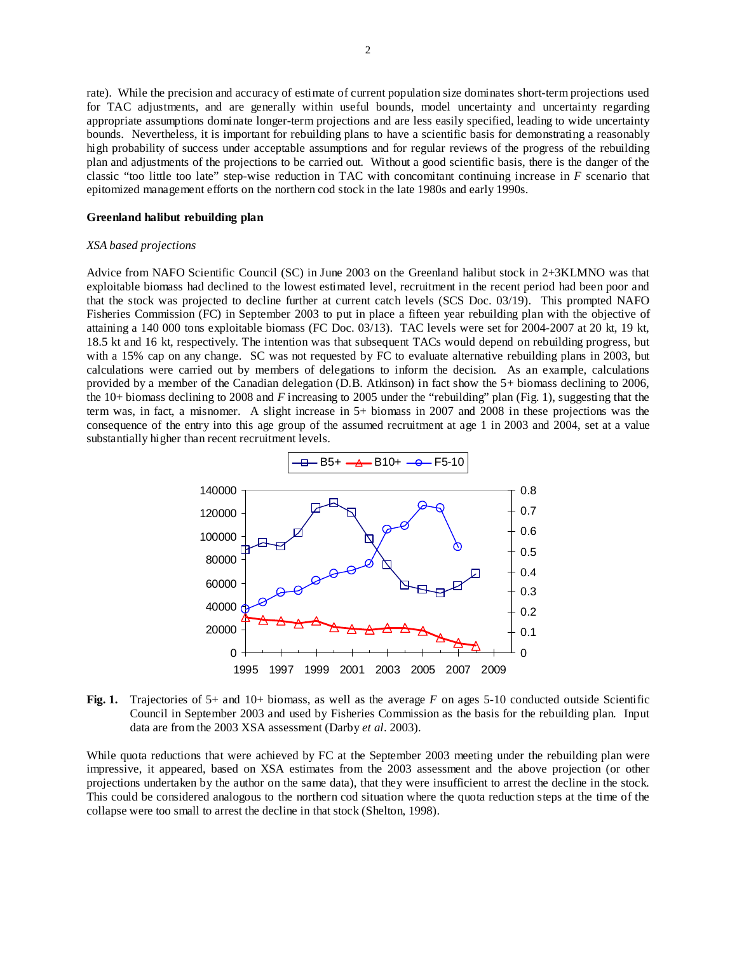rate). While the precision and accuracy of estimate of current population size dominates short-term projections used for TAC adjustments, and are generally within useful bounds, model uncertainty and uncertainty regarding appropriate assumptions dominate longer-term projections and are less easily specified, leading to wide uncertainty bounds. Nevertheless, it is important for rebuilding plans to have a scientific basis for demonstrating a reasonably high probability of success under acceptable assumptions and for regular reviews of the progress of the rebuilding plan and adjustments of the projections to be carried out. Without a good scientific basis, there is the danger of the classic "too little too late" step-wise reduction in TAC with concomitant continuing increase in *F* scenario that epitomized management efforts on the northern cod stock in the late 1980s and early 1990s.

### **Greenland halibut rebuilding plan**

#### *XSA based projections*

Advice from NAFO Scientific Council (SC) in June 2003 on the Greenland halibut stock in 2+3KLMNO was that exploitable biomass had declined to the lowest estimated level, recruitment in the recent period had been poor and that the stock was projected to decline further at current catch levels (SCS Doc. 03/19). This prompted NAFO Fisheries Commission (FC) in September 2003 to put in place a fifteen year rebuilding plan with the objective of attaining a 140 000 tons exploitable biomass (FC Doc. 03/13). TAC levels were set for 2004-2007 at 20 kt, 19 kt, 18.5 kt and 16 kt, respectively. The intention was that subsequent TACs would depend on rebuilding progress, but with a 15% cap on any change. SC was not requested by FC to evaluate alternative rebuilding plans in 2003, but calculations were carried out by members of delegations to inform the decision. As an example, calculations provided by a member of the Canadian delegation (D.B. Atkinson) in fact show the 5+ biomass declining to 2006, the 10+ biomass declining to 2008 and *F* increasing to 2005 under the "rebuilding" plan (Fig. 1), suggesting that the term was, in fact, a misnomer. A slight increase in 5+ biomass in 2007 and 2008 in these projections was the consequence of the entry into this age group of the assumed recruitment at age 1 in 2003 and 2004, set at a value substantially higher than recent recruitment levels.



**Fig. 1.** Trajectories of 5+ and 10+ biomass, as well as the average *F* on ages 5-10 conducted outside Scientific Council in September 2003 and used by Fisheries Commission as the basis for the rebuilding plan. Input data are from the 2003 XSA assessment (Darby *et al*. 2003).

While quota reductions that were achieved by FC at the September 2003 meeting under the rebuilding plan were impressive, it appeared, based on XSA estimates from the 2003 assessment and the above projection (or other projections undertaken by the author on the same data), that they were insufficient to arrest the decline in the stock. This could be considered analogous to the northern cod situation where the quota reduction steps at the time of the collapse were too small to arrest the decline in that stock (Shelton, 1998).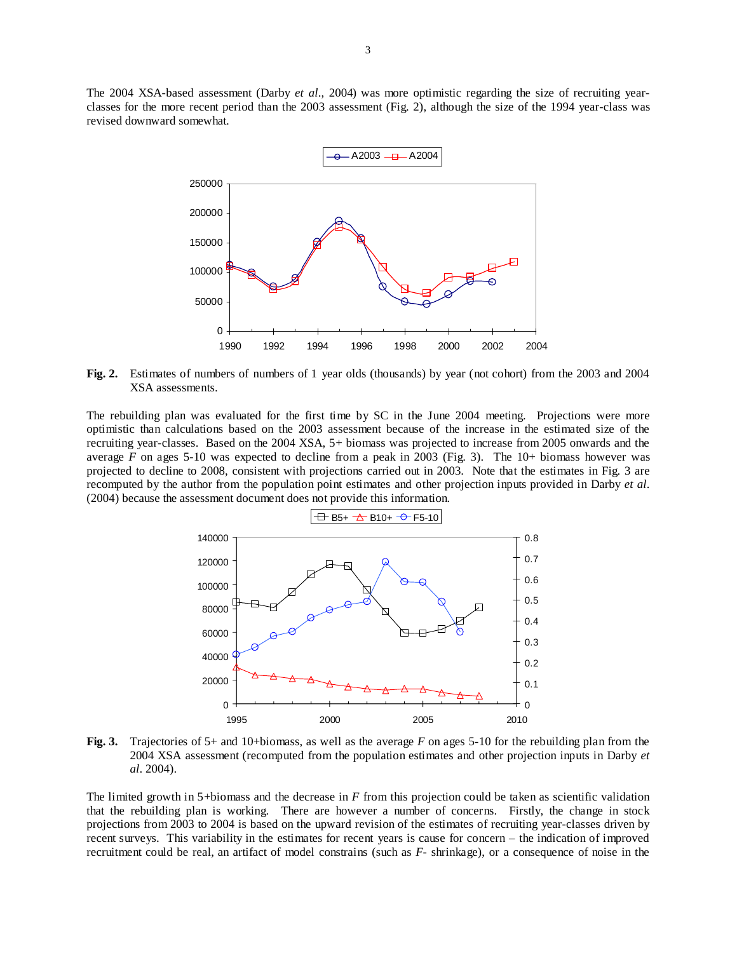The 2004 XSA-based assessment (Darby *et al*., 2004) was more optimistic regarding the size of recruiting yearclasses for the more recent period than the 2003 assessment (Fig. 2), although the size of the 1994 year-class was revised downward somewhat.



**Fig. 2.** Estimates of numbers of numbers of 1 year olds (thousands) by year (not cohort) from the 2003 and 2004 XSA assessments.

The rebuilding plan was evaluated for the first time by SC in the June 2004 meeting. Projections were more optimistic than calculations based on the 2003 assessment because of the increase in the estimated size of the recruiting year-classes. Based on the 2004 XSA, 5+ biomass was projected to increase from 2005 onwards and the average *F* on ages 5-10 was expected to decline from a peak in 2003 (Fig. 3). The 10+ biomass however was projected to decline to 2008, consistent with projections carried out in 2003. Note that the estimates in Fig. 3 are recomputed by the author from the population point estimates and other projection inputs provided in Darby *et al*. (2004) because the assessment document does not provide this information.



**Fig. 3.** Trajectories of 5+ and 10+biomass, as well as the average *F* on ages 5-10 for the rebuilding plan from the 2004 XSA assessment (recomputed from the population estimates and other projection inputs in Darby *et al*. 2004).

The limited growth in 5+biomass and the decrease in *F* from this projection could be taken as scientific validation that the rebuilding plan is working. There are however a number of concerns. Firstly, the change in stock projections from 2003 to 2004 is based on the upward revision of the estimates of recruiting year-classes driven by recent surveys. This variability in the estimates for recent years is cause for concern – the indication of improved recruitment could be real, an artifact of model constrains (such as *F*- shrinkage), or a consequence of noise in the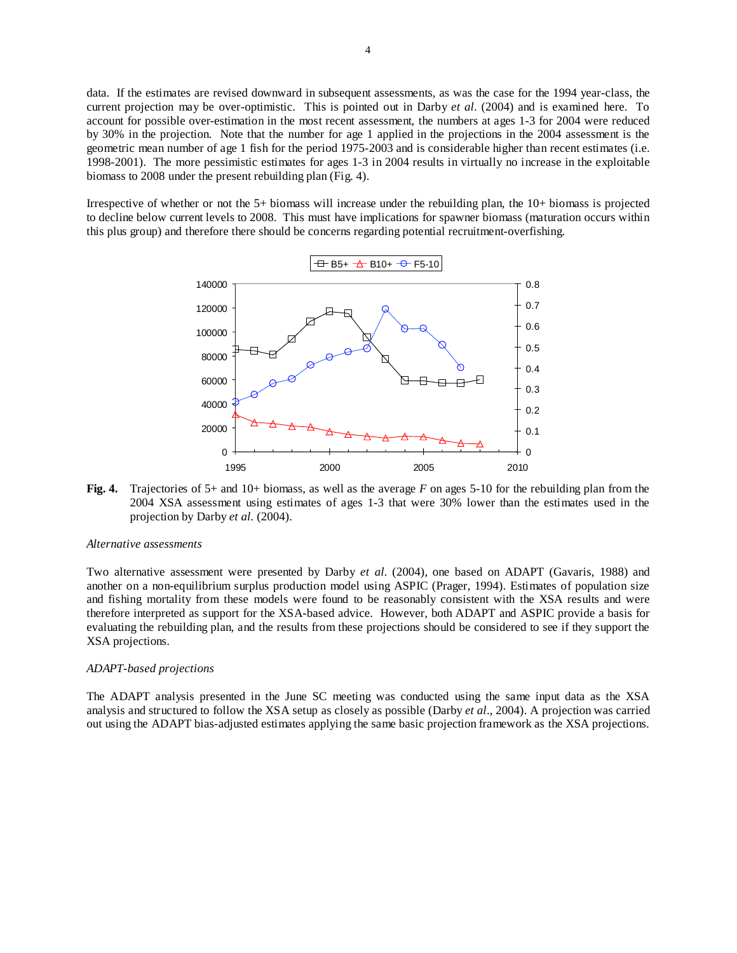data. If the estimates are revised downward in subsequent assessments, as was the case for the 1994 year-class, the current projection may be over-optimistic. This is pointed out in Darby *et al*. (2004) and is examined here. To account for possible over-estimation in the most recent assessment, the numbers at ages 1-3 for 2004 were reduced by 30% in the projection. Note that the number for age 1 applied in the projections in the 2004 assessment is the geometric mean number of age 1 fish for the period 1975-2003 and is considerable higher than recent estimates (i.e. 1998-2001). The more pessimistic estimates for ages 1-3 in 2004 results in virtually no increase in the exploitable biomass to 2008 under the present rebuilding plan (Fig. 4).

Irrespective of whether or not the 5+ biomass will increase under the rebuilding plan, the 10+ biomass is projected to decline below current levels to 2008. This must have implications for spawner biomass (maturation occurs within this plus group) and therefore there should be concerns regarding potential recruitment-overfishing.



**Fig. 4.** Trajectories of 5+ and 10+ biomass, as well as the average *F* on ages 5-10 for the rebuilding plan from the 2004 XSA assessment using estimates of ages 1-3 that were 30% lower than the estimates used in the projection by Darby *et al.* (2004).

#### *Alternative assessments*

Two alternative assessment were presented by Darby *et al.* (2004), one based on ADAPT (Gavaris, 1988) and another on a non-equilibrium surplus production model using ASPIC (Prager, 1994). Estimates of population size and fishing mortality from these models were found to be reasonably consistent with the XSA results and were therefore interpreted as support for the XSA-based advice. However, both ADAPT and ASPIC provide a basis for evaluating the rebuilding plan, and the results from these projections should be considered to see if they support the XSA projections.

#### *ADAPT-based projections*

The ADAPT analysis presented in the June SC meeting was conducted using the same input data as the XSA analysis and structured to follow the XSA setup as closely as possible (Darby *et al*., 2004). A projection was carried out using the ADAPT bias-adjusted estimates applying the same basic projection framework as the XSA projections.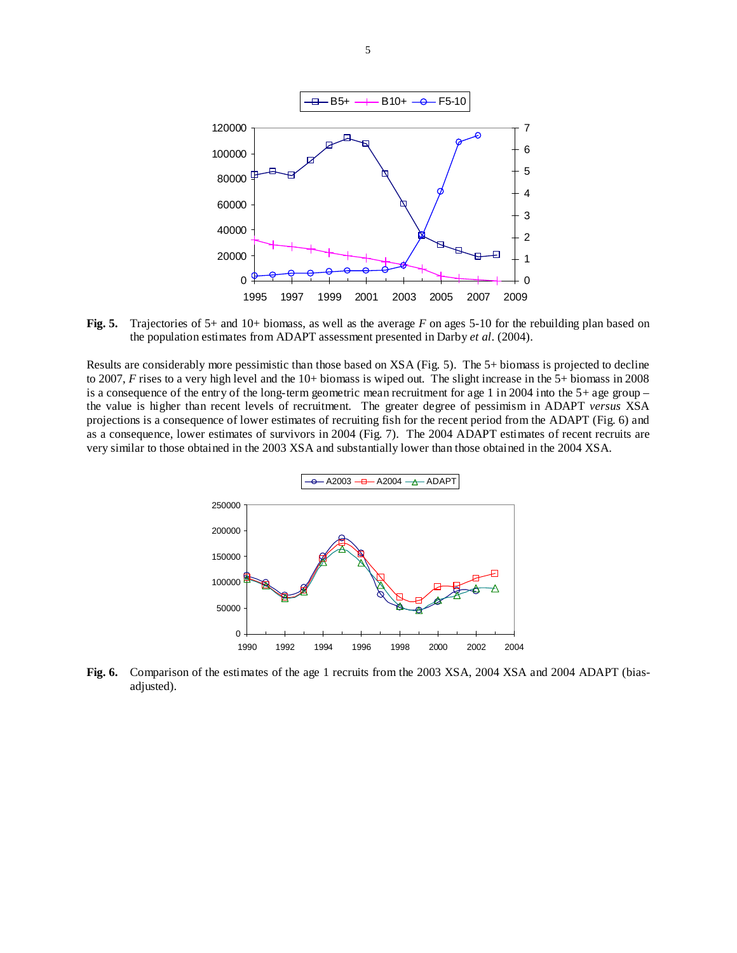

**Fig. 5.** Trajectories of 5+ and 10+ biomass, as well as the average *F* on ages 5-10 for the rebuilding plan based on the population estimates from ADAPT assessment presented in Darby *et al*. (2004).

Results are considerably more pessimistic than those based on XSA (Fig. 5). The 5+ biomass is projected to decline to 2007, *F* rises to a very high level and the 10+ biomass is wiped out. The slight increase in the 5+ biomass in 2008 is a consequence of the entry of the long-term geometric mean recruitment for age 1 in 2004 into the  $5+$  age group – the value is higher than recent levels of recruitment. The greater degree of pessimism in ADAPT *versus* XSA projections is a consequence of lower estimates of recruiting fish for the recent period from the ADAPT (Fig. 6) and as a consequence, lower estimates of survivors in 2004 (Fig. 7). The 2004 ADAPT estimates of recent recruits are very similar to those obtained in the 2003 XSA and substantially lower than those obtained in the 2004 XSA.



**Fig. 6.** Comparison of the estimates of the age 1 recruits from the 2003 XSA, 2004 XSA and 2004 ADAPT (biasadjusted).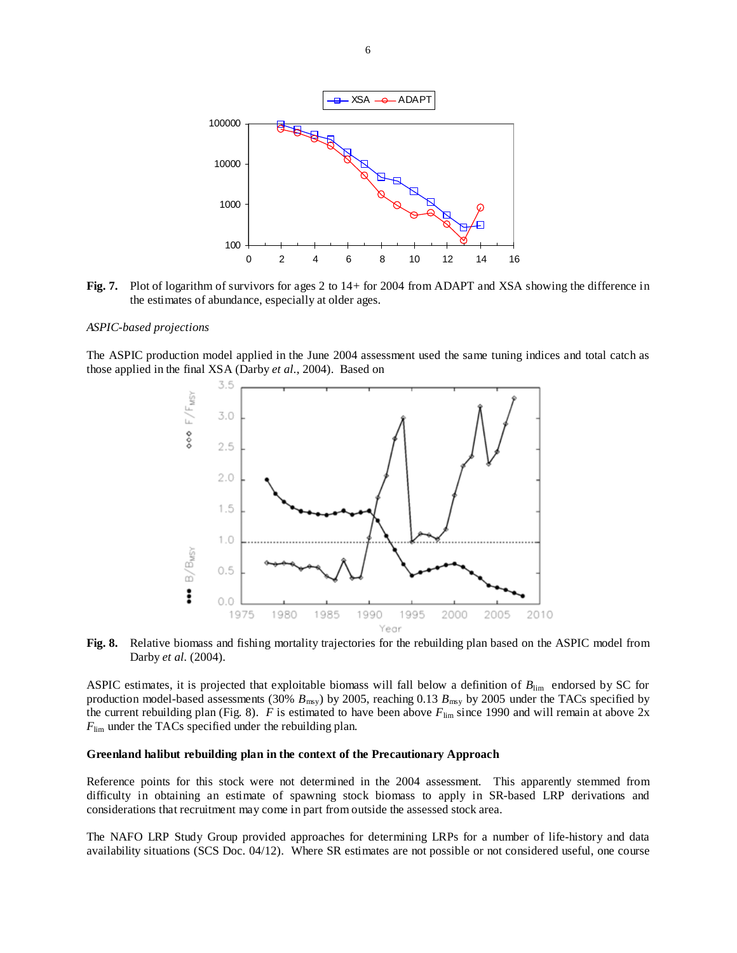

**Fig. 7.** Plot of logarithm of survivors for ages 2 to 14+ for 2004 from ADAPT and XSA showing the difference in the estimates of abundance, especially at older ages.

#### *ASPIC-based projections*

The ASPIC production model applied in the June 2004 assessment used the same tuning indices and total catch as those applied in the final XSA (Darby *et al.*, 2004). Based on



**Fig. 8.** Relative biomass and fishing mortality trajectories for the rebuilding plan based on the ASPIC model from Darby *et al.* (2004).

ASPIC estimates, it is projected that exploitable biomass will fall below a definition of  $B_{\text{lim}}$  endorsed by SC for production model-based assessments (30%  $B_{\text{msy}}$ ) by 2005, reaching 0.13  $B_{\text{msy}}$  by 2005 under the TACs specified by the current rebuilding plan (Fig. 8). *F* is estimated to have been above  $F_{\text{lim}}$  since 1990 and will remain at above 2x *F*lim under the TACs specified under the rebuilding plan.

# **Greenland halibut rebuilding plan in the context of the Precautionary Approach**

Reference points for this stock were not determined in the 2004 assessment. This apparently stemmed from difficulty in obtaining an estimate of spawning stock biomass to apply in SR-based LRP derivations and considerations that recruitment may come in part from outside the assessed stock area.

The NAFO LRP Study Group provided approaches for determining LRPs for a number of life-history and data availability situations (SCS Doc. 04/12). Where SR estimates are not possible or not considered useful, one course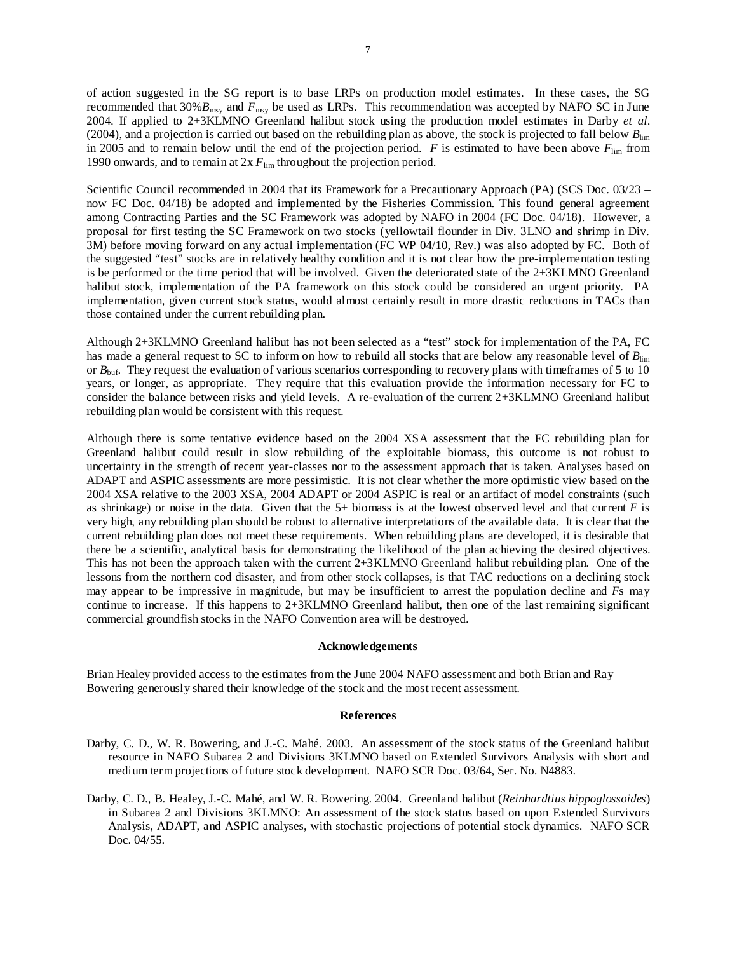of action suggested in the SG report is to base LRPs on production model estimates. In these cases, the SG recommended that  $30\%B_{\text{msy}}$  and  $\bar{F}_{\text{msy}}$  be used as LRPs. This recommendation was accepted by NAFO SC in June 2004. If applied to 2+3KLMNO Greenland halibut stock using the production model estimates in Darby *et al*. (2004), and a projection is carried out based on the rebuilding plan as above, the stock is projected to fall below *B*lim in 2005 and to remain below until the end of the projection period.  $F$  is estimated to have been above  $F_{\text{lim}}$  from 1990 onwards, and to remain at  $2x F_{\text{lim}}$  throughout the projection period.

Scientific Council recommended in 2004 that its Framework for a Precautionary Approach (PA) (SCS Doc. 03/23 – now FC Doc. 04/18) be adopted and implemented by the Fisheries Commission. This found general agreement among Contracting Parties and the SC Framework was adopted by NAFO in 2004 (FC Doc. 04/18). However, a proposal for first testing the SC Framework on two stocks (yellowtail flounder in Div. 3LNO and shrimp in Div. 3M) before moving forward on any actual implementation (FC WP 04/10, Rev.) was also adopted by FC. Both of the suggested "test" stocks are in relatively healthy condition and it is not clear how the pre-implementation testing is be performed or the time period that will be involved. Given the deteriorated state of the 2+3KLMNO Greenland halibut stock, implementation of the PA framework on this stock could be considered an urgent priority. PA implementation, given current stock status, would almost certainly result in more drastic reductions in TACs than those contained under the current rebuilding plan.

Although 2+3KLMNO Greenland halibut has not been selected as a "test" stock for implementation of the PA, FC has made a general request to SC to inform on how to rebuild all stocks that are below any reasonable level of  $B_{\text{lim}}$ or  $B_{\text{buf}}$ . They request the evaluation of various scenarios corresponding to recovery plans with timeframes of 5 to 10 years, or longer, as appropriate. They require that this evaluation provide the information necessary for FC to consider the balance between risks and yield levels. A re-evaluation of the current 2+3KLMNO Greenland halibut rebuilding plan would be consistent with this request.

Although there is some tentative evidence based on the 2004 XSA assessment that the FC rebuilding plan for Greenland halibut could result in slow rebuilding of the exploitable biomass, this outcome is not robust to uncertainty in the strength of recent year-classes nor to the assessment approach that is taken. Analyses based on ADAPT and ASPIC assessments are more pessimistic. It is not clear whether the more optimistic view based on the 2004 XSA relative to the 2003 XSA, 2004 ADAPT or 2004 ASPIC is real or an artifact of model constraints (such as shrinkage) or noise in the data. Given that the  $5+$  biomass is at the lowest observed level and that current  $F$  is very high, any rebuilding plan should be robust to alternative interpretations of the available data. It is clear that the current rebuilding plan does not meet these requirements. When rebuilding plans are developed, it is desirable that there be a scientific, analytical basis for demonstrating the likelihood of the plan achieving the desired objectives. This has not been the approach taken with the current 2+3KLMNO Greenland halibut rebuilding plan. One of the lessons from the northern cod disaster, and from other stock collapses, is that TAC reductions on a declining stock may appear to be impressive in magnitude, but may be insufficient to arrest the population decline and *F*s may continue to increase. If this happens to 2+3KLMNO Greenland halibut, then one of the last remaining significant commercial groundfish stocks in the NAFO Convention area will be destroyed.

#### **Acknowledgements**

Brian Healey provided access to the estimates from the June 2004 NAFO assessment and both Brian and Ray Bowering generously shared their knowledge of the stock and the most recent assessment.

### **References**

- Darby, C. D., W. R. Bowering, and J.-C. Mahé. 2003. An assessment of the stock status of the Greenland halibut resource in NAFO Subarea 2 and Divisions 3KLMNO based on Extended Survivors Analysis with short and medium term projections of future stock development. NAFO SCR Doc. 03/64, Ser. No. N4883.
- Darby, C. D., B. Healey, J.-C. Mahé, and W. R. Bowering. 2004. Greenland halibut (*Reinhardtius hippoglossoides*) in Subarea 2 and Divisions 3KLMNO: An assessment of the stock status based on upon Extended Survivors Analysis, ADAPT, and ASPIC analyses, with stochastic projections of potential stock dynamics. NAFO SCR Doc. 04/55.